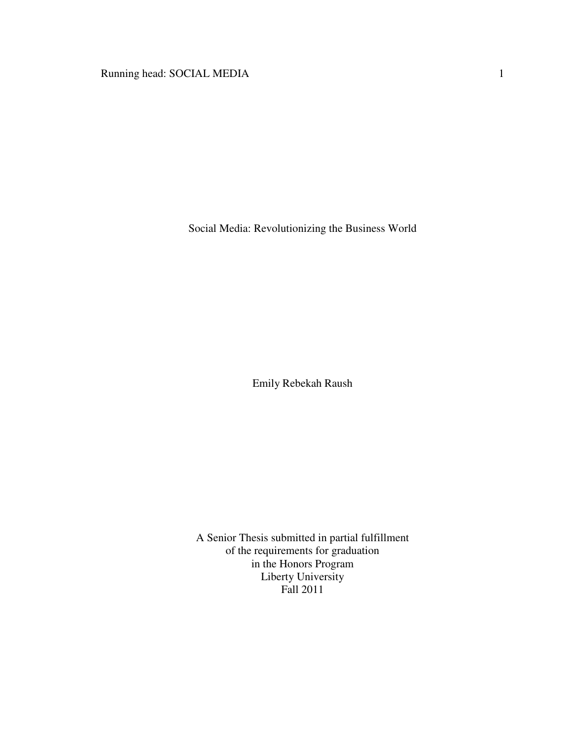Social Media: Revolutionizing the Business World

Emily Rebekah Raush

A Senior Thesis submitted in partial fulfillment of the requirements for graduation in the Honors Program Liberty University Fall 2011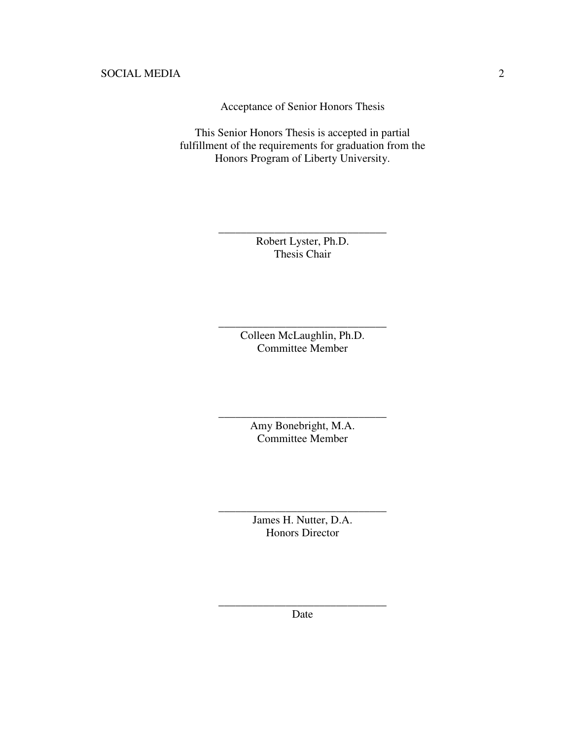Acceptance of Senior Honors Thesis

This Senior Honors Thesis is accepted in partial fulfillment of the requirements for graduation from the Honors Program of Liberty University.

> Robert Lyster, Ph.D. Thesis Chair

\_\_\_\_\_\_\_\_\_\_\_\_\_\_\_\_\_\_\_\_\_\_\_\_\_\_\_\_\_\_

Colleen McLaughlin, Ph.D. Committee Member

\_\_\_\_\_\_\_\_\_\_\_\_\_\_\_\_\_\_\_\_\_\_\_\_\_\_\_\_\_\_

Amy Bonebright, M.A. Committee Member

\_\_\_\_\_\_\_\_\_\_\_\_\_\_\_\_\_\_\_\_\_\_\_\_\_\_\_\_\_\_

James H. Nutter, D.A. Honors Director

\_\_\_\_\_\_\_\_\_\_\_\_\_\_\_\_\_\_\_\_\_\_\_\_\_\_\_\_\_\_

\_\_\_\_\_\_\_\_\_\_\_\_\_\_\_\_\_\_\_\_\_\_\_\_\_\_\_\_\_\_ Date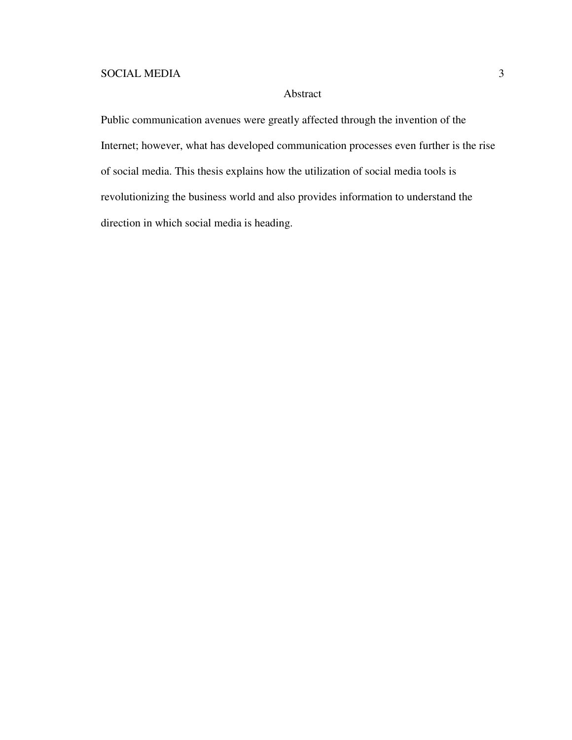## Abstract

Public communication avenues were greatly affected through the invention of the Internet; however, what has developed communication processes even further is the rise of social media. This thesis explains how the utilization of social media tools is revolutionizing the business world and also provides information to understand the direction in which social media is heading.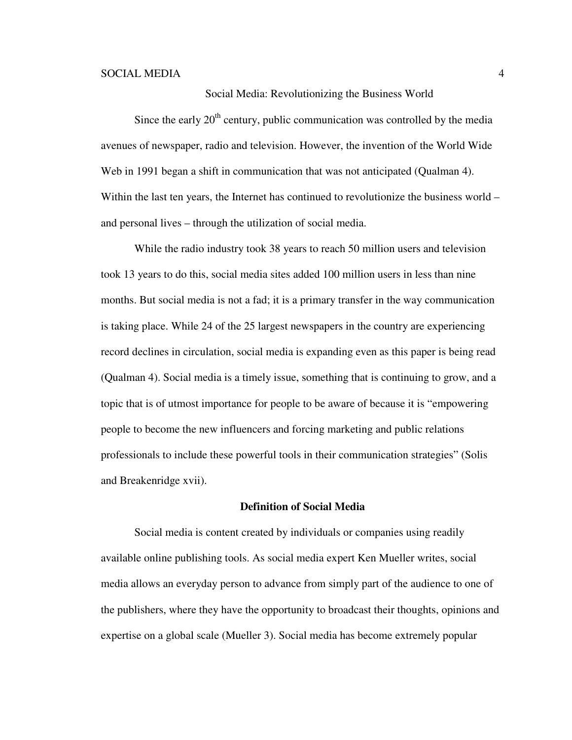### Social Media: Revolutionizing the Business World

Since the early  $20<sup>th</sup>$  century, public communication was controlled by the media avenues of newspaper, radio and television. However, the invention of the World Wide Web in 1991 began a shift in communication that was not anticipated (Qualman 4). Within the last ten years, the Internet has continued to revolutionize the business world – and personal lives – through the utilization of social media.

While the radio industry took 38 years to reach 50 million users and television took 13 years to do this, social media sites added 100 million users in less than nine months. But social media is not a fad; it is a primary transfer in the way communication is taking place. While 24 of the 25 largest newspapers in the country are experiencing record declines in circulation, social media is expanding even as this paper is being read (Qualman 4). Social media is a timely issue, something that is continuing to grow, and a topic that is of utmost importance for people to be aware of because it is "empowering people to become the new influencers and forcing marketing and public relations professionals to include these powerful tools in their communication strategies" (Solis and Breakenridge xvii).

#### **Definition of Social Media**

Social media is content created by individuals or companies using readily available online publishing tools. As social media expert Ken Mueller writes, social media allows an everyday person to advance from simply part of the audience to one of the publishers, where they have the opportunity to broadcast their thoughts, opinions and expertise on a global scale (Mueller 3). Social media has become extremely popular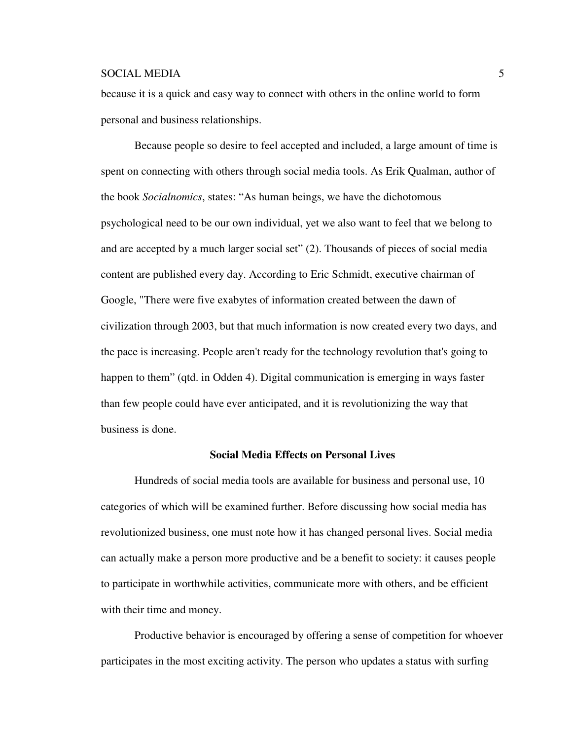because it is a quick and easy way to connect with others in the online world to form personal and business relationships.

Because people so desire to feel accepted and included, a large amount of time is spent on connecting with others through social media tools. As Erik Qualman, author of the book *Socialnomics*, states: "As human beings, we have the dichotomous psychological need to be our own individual, yet we also want to feel that we belong to and are accepted by a much larger social set" (2). Thousands of pieces of social media content are published every day. According to Eric Schmidt, executive chairman of Google, "There were five exabytes of information created between the dawn of civilization through 2003, but that much information is now created every two days, and the pace is increasing. People aren't ready for the technology revolution that's going to happen to them" (qtd. in Odden 4). Digital communication is emerging in ways faster than few people could have ever anticipated, and it is revolutionizing the way that business is done.

### **Social Media Effects on Personal Lives**

Hundreds of social media tools are available for business and personal use, 10 categories of which will be examined further. Before discussing how social media has revolutionized business, one must note how it has changed personal lives. Social media can actually make a person more productive and be a benefit to society: it causes people to participate in worthwhile activities, communicate more with others, and be efficient with their time and money.

Productive behavior is encouraged by offering a sense of competition for whoever participates in the most exciting activity. The person who updates a status with surfing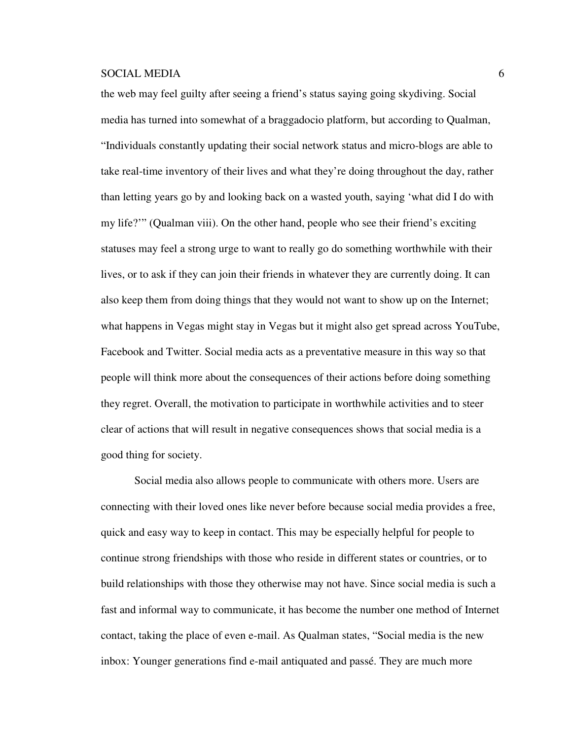the web may feel guilty after seeing a friend's status saying going skydiving. Social media has turned into somewhat of a braggadocio platform, but according to Qualman, "Individuals constantly updating their social network status and micro-blogs are able to take real-time inventory of their lives and what they're doing throughout the day, rather than letting years go by and looking back on a wasted youth, saying 'what did I do with my life?'" (Qualman viii). On the other hand, people who see their friend's exciting statuses may feel a strong urge to want to really go do something worthwhile with their lives, or to ask if they can join their friends in whatever they are currently doing. It can also keep them from doing things that they would not want to show up on the Internet; what happens in Vegas might stay in Vegas but it might also get spread across YouTube, Facebook and Twitter. Social media acts as a preventative measure in this way so that people will think more about the consequences of their actions before doing something they regret. Overall, the motivation to participate in worthwhile activities and to steer clear of actions that will result in negative consequences shows that social media is a good thing for society.

Social media also allows people to communicate with others more. Users are connecting with their loved ones like never before because social media provides a free, quick and easy way to keep in contact. This may be especially helpful for people to continue strong friendships with those who reside in different states or countries, or to build relationships with those they otherwise may not have. Since social media is such a fast and informal way to communicate, it has become the number one method of Internet contact, taking the place of even e-mail. As Qualman states, "Social media is the new inbox: Younger generations find e-mail antiquated and passé. They are much more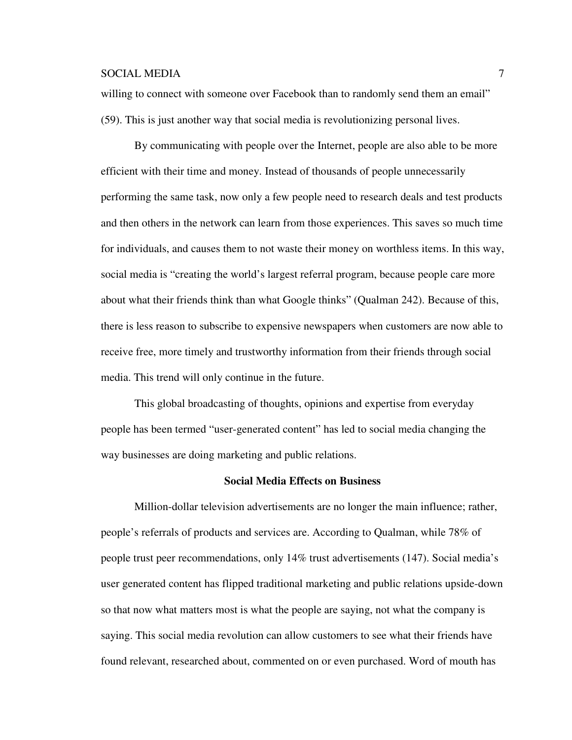willing to connect with someone over Facebook than to randomly send them an email" (59). This is just another way that social media is revolutionizing personal lives.

By communicating with people over the Internet, people are also able to be more efficient with their time and money. Instead of thousands of people unnecessarily performing the same task, now only a few people need to research deals and test products and then others in the network can learn from those experiences. This saves so much time for individuals, and causes them to not waste their money on worthless items. In this way, social media is "creating the world's largest referral program, because people care more about what their friends think than what Google thinks" (Qualman 242). Because of this, there is less reason to subscribe to expensive newspapers when customers are now able to receive free, more timely and trustworthy information from their friends through social media. This trend will only continue in the future.

This global broadcasting of thoughts, opinions and expertise from everyday people has been termed "user-generated content" has led to social media changing the way businesses are doing marketing and public relations.

#### **Social Media Effects on Business**

Million-dollar television advertisements are no longer the main influence; rather, people's referrals of products and services are. According to Qualman, while 78% of people trust peer recommendations, only 14% trust advertisements (147). Social media's user generated content has flipped traditional marketing and public relations upside-down so that now what matters most is what the people are saying, not what the company is saying. This social media revolution can allow customers to see what their friends have found relevant, researched about, commented on or even purchased. Word of mouth has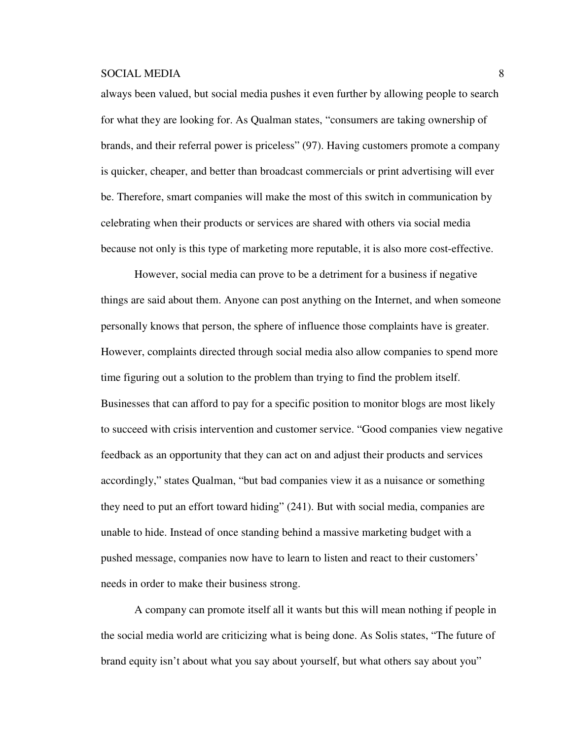always been valued, but social media pushes it even further by allowing people to search for what they are looking for. As Qualman states, "consumers are taking ownership of brands, and their referral power is priceless" (97). Having customers promote a company is quicker, cheaper, and better than broadcast commercials or print advertising will ever be. Therefore, smart companies will make the most of this switch in communication by celebrating when their products or services are shared with others via social media because not only is this type of marketing more reputable, it is also more cost-effective.

However, social media can prove to be a detriment for a business if negative things are said about them. Anyone can post anything on the Internet, and when someone personally knows that person, the sphere of influence those complaints have is greater. However, complaints directed through social media also allow companies to spend more time figuring out a solution to the problem than trying to find the problem itself. Businesses that can afford to pay for a specific position to monitor blogs are most likely to succeed with crisis intervention and customer service. "Good companies view negative feedback as an opportunity that they can act on and adjust their products and services accordingly," states Qualman, "but bad companies view it as a nuisance or something they need to put an effort toward hiding" (241). But with social media, companies are unable to hide. Instead of once standing behind a massive marketing budget with a pushed message, companies now have to learn to listen and react to their customers' needs in order to make their business strong.

A company can promote itself all it wants but this will mean nothing if people in the social media world are criticizing what is being done. As Solis states, "The future of brand equity isn't about what you say about yourself, but what others say about you"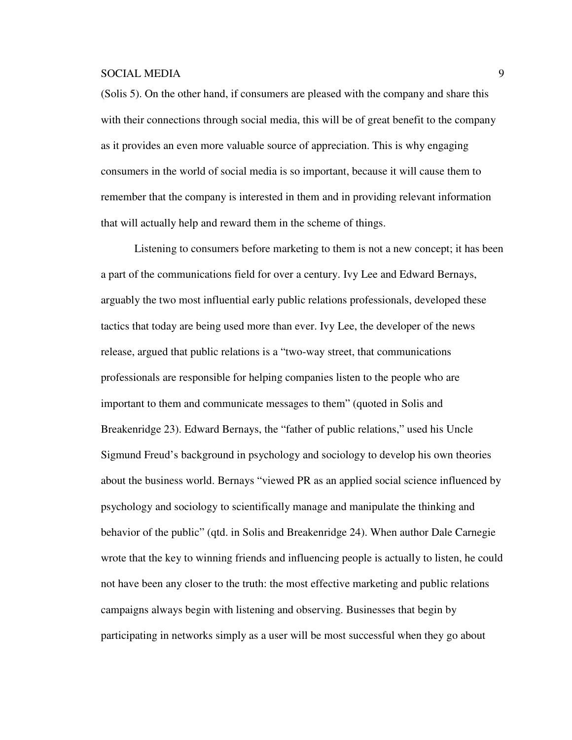(Solis 5). On the other hand, if consumers are pleased with the company and share this with their connections through social media, this will be of great benefit to the company as it provides an even more valuable source of appreciation. This is why engaging consumers in the world of social media is so important, because it will cause them to remember that the company is interested in them and in providing relevant information that will actually help and reward them in the scheme of things.

Listening to consumers before marketing to them is not a new concept; it has been a part of the communications field for over a century. Ivy Lee and Edward Bernays, arguably the two most influential early public relations professionals, developed these tactics that today are being used more than ever. Ivy Lee, the developer of the news release, argued that public relations is a "two-way street, that communications professionals are responsible for helping companies listen to the people who are important to them and communicate messages to them" (quoted in Solis and Breakenridge 23). Edward Bernays, the "father of public relations," used his Uncle Sigmund Freud's background in psychology and sociology to develop his own theories about the business world. Bernays "viewed PR as an applied social science influenced by psychology and sociology to scientifically manage and manipulate the thinking and behavior of the public" (qtd. in Solis and Breakenridge 24). When author Dale Carnegie wrote that the key to winning friends and influencing people is actually to listen, he could not have been any closer to the truth: the most effective marketing and public relations campaigns always begin with listening and observing. Businesses that begin by participating in networks simply as a user will be most successful when they go about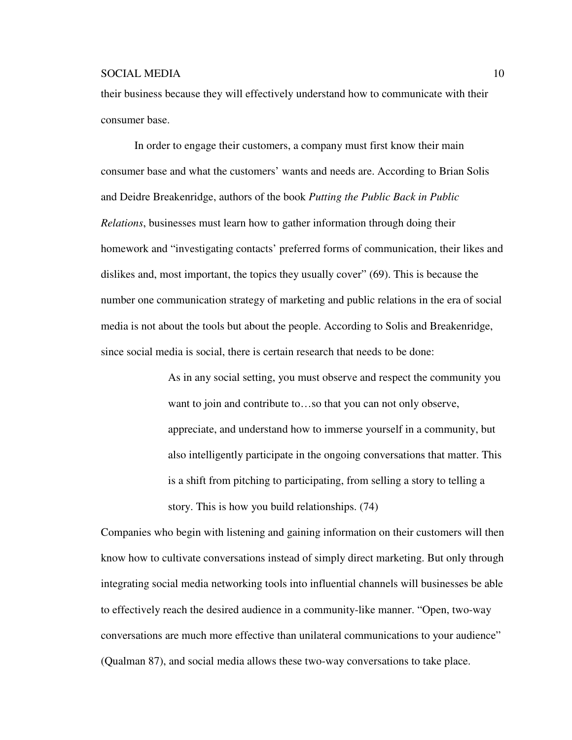their business because they will effectively understand how to communicate with their consumer base.

In order to engage their customers, a company must first know their main consumer base and what the customers' wants and needs are. According to Brian Solis and Deidre Breakenridge, authors of the book *Putting the Public Back in Public Relations*, businesses must learn how to gather information through doing their homework and "investigating contacts' preferred forms of communication, their likes and dislikes and, most important, the topics they usually cover" (69). This is because the number one communication strategy of marketing and public relations in the era of social media is not about the tools but about the people. According to Solis and Breakenridge, since social media is social, there is certain research that needs to be done:

> As in any social setting, you must observe and respect the community you want to join and contribute to…so that you can not only observe, appreciate, and understand how to immerse yourself in a community, but also intelligently participate in the ongoing conversations that matter. This is a shift from pitching to participating, from selling a story to telling a story. This is how you build relationships. (74)

Companies who begin with listening and gaining information on their customers will then know how to cultivate conversations instead of simply direct marketing. But only through integrating social media networking tools into influential channels will businesses be able to effectively reach the desired audience in a community-like manner. "Open, two-way conversations are much more effective than unilateral communications to your audience" (Qualman 87), and social media allows these two-way conversations to take place.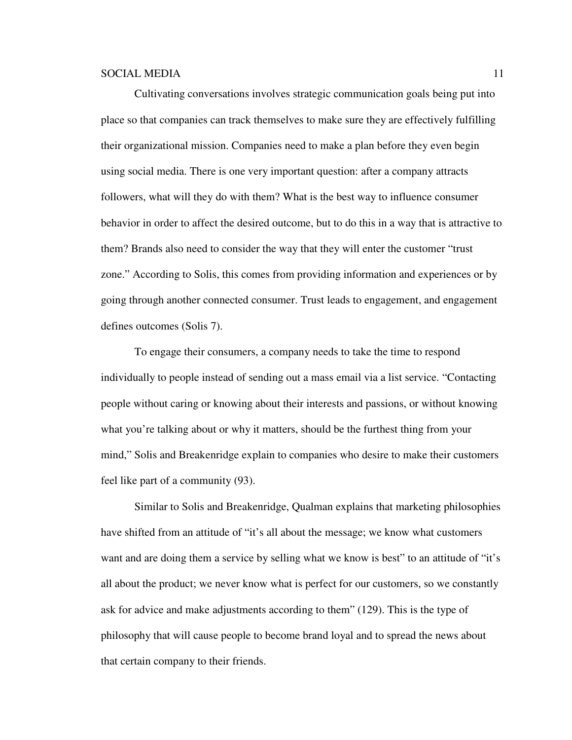Cultivating conversations involves strategic communication goals being put into place so that companies can track themselves to make sure they are effectively fulfilling their organizational mission. Companies need to make a plan before they even begin using social media. There is one very important question: after a company attracts followers, what will they do with them? What is the best way to influence consumer behavior in order to affect the desired outcome, but to do this in a way that is attractive to them? Brands also need to consider the way that they will enter the customer "trust zone." According to Solis, this comes from providing information and experiences or by going through another connected consumer. Trust leads to engagement, and engagement defines outcomes (Solis 7).

To engage their consumers, a company needs to take the time to respond individually to people instead of sending out a mass email via a list service. "Contacting people without caring or knowing about their interests and passions, or without knowing what you're talking about or why it matters, should be the furthest thing from your mind," Solis and Breakenridge explain to companies who desire to make their customers feel like part of a community (93).

Similar to Solis and Breakenridge, Qualman explains that marketing philosophies have shifted from an attitude of "it's all about the message; we know what customers want and are doing them a service by selling what we know is best" to an attitude of "it's all about the product; we never know what is perfect for our customers, so we constantly ask for advice and make adjustments according to them" (129). This is the type of philosophy that will cause people to become brand loyal and to spread the news about that certain company to their friends.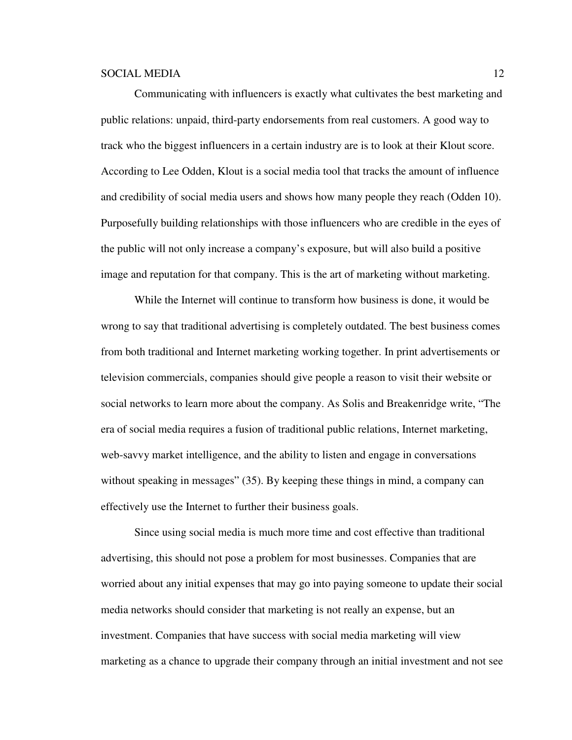Communicating with influencers is exactly what cultivates the best marketing and public relations: unpaid, third-party endorsements from real customers. A good way to track who the biggest influencers in a certain industry are is to look at their Klout score. According to Lee Odden, Klout is a social media tool that tracks the amount of influence and credibility of social media users and shows how many people they reach (Odden 10). Purposefully building relationships with those influencers who are credible in the eyes of the public will not only increase a company's exposure, but will also build a positive image and reputation for that company. This is the art of marketing without marketing.

While the Internet will continue to transform how business is done, it would be wrong to say that traditional advertising is completely outdated. The best business comes from both traditional and Internet marketing working together. In print advertisements or television commercials, companies should give people a reason to visit their website or social networks to learn more about the company. As Solis and Breakenridge write, "The era of social media requires a fusion of traditional public relations, Internet marketing, web-savvy market intelligence, and the ability to listen and engage in conversations without speaking in messages" (35). By keeping these things in mind, a company can effectively use the Internet to further their business goals.

Since using social media is much more time and cost effective than traditional advertising, this should not pose a problem for most businesses. Companies that are worried about any initial expenses that may go into paying someone to update their social media networks should consider that marketing is not really an expense, but an investment. Companies that have success with social media marketing will view marketing as a chance to upgrade their company through an initial investment and not see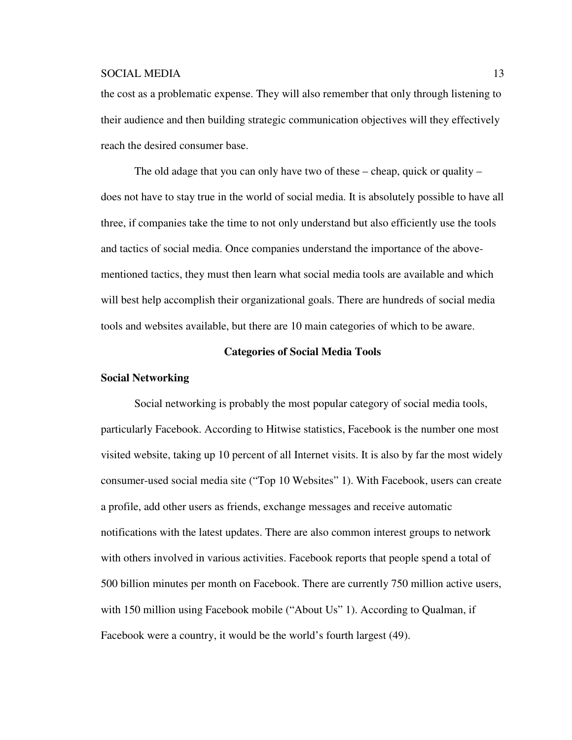the cost as a problematic expense. They will also remember that only through listening to their audience and then building strategic communication objectives will they effectively reach the desired consumer base.

The old adage that you can only have two of these – cheap, quick or quality – does not have to stay true in the world of social media. It is absolutely possible to have all three, if companies take the time to not only understand but also efficiently use the tools and tactics of social media. Once companies understand the importance of the abovementioned tactics, they must then learn what social media tools are available and which will best help accomplish their organizational goals. There are hundreds of social media tools and websites available, but there are 10 main categories of which to be aware.

#### **Categories of Social Media Tools**

#### **Social Networking**

Social networking is probably the most popular category of social media tools, particularly Facebook. According to Hitwise statistics, Facebook is the number one most visited website, taking up 10 percent of all Internet visits. It is also by far the most widely consumer-used social media site ("Top 10 Websites" 1). With Facebook, users can create a profile, add other users as friends, exchange messages and receive automatic notifications with the latest updates. There are also common interest groups to network with others involved in various activities. Facebook reports that people spend a total of 500 billion minutes per month on Facebook. There are currently 750 million active users, with 150 million using Facebook mobile ("About Us" 1). According to Qualman, if Facebook were a country, it would be the world's fourth largest (49).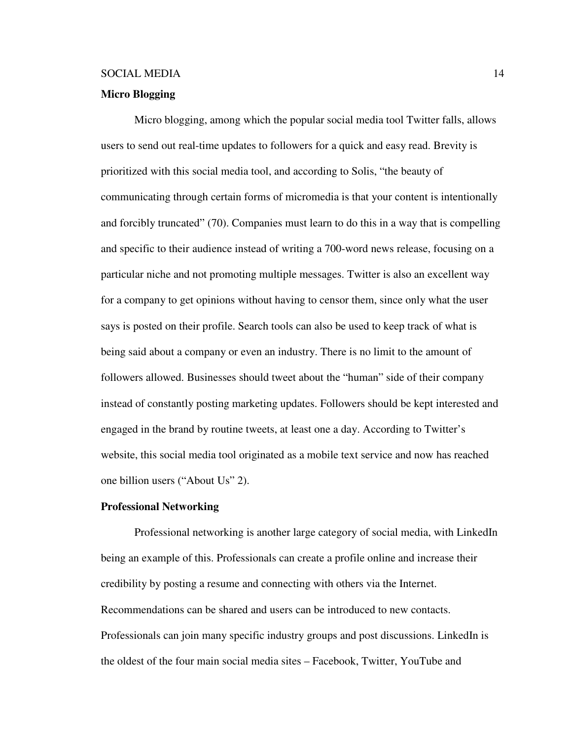### **Micro Blogging**

Micro blogging, among which the popular social media tool Twitter falls, allows users to send out real-time updates to followers for a quick and easy read. Brevity is prioritized with this social media tool, and according to Solis, "the beauty of communicating through certain forms of micromedia is that your content is intentionally and forcibly truncated" (70). Companies must learn to do this in a way that is compelling and specific to their audience instead of writing a 700-word news release, focusing on a particular niche and not promoting multiple messages. Twitter is also an excellent way for a company to get opinions without having to censor them, since only what the user says is posted on their profile. Search tools can also be used to keep track of what is being said about a company or even an industry. There is no limit to the amount of followers allowed. Businesses should tweet about the "human" side of their company instead of constantly posting marketing updates. Followers should be kept interested and engaged in the brand by routine tweets, at least one a day. According to Twitter's website, this social media tool originated as a mobile text service and now has reached one billion users ("About Us" 2).

#### **Professional Networking**

Professional networking is another large category of social media, with LinkedIn being an example of this. Professionals can create a profile online and increase their credibility by posting a resume and connecting with others via the Internet. Recommendations can be shared and users can be introduced to new contacts. Professionals can join many specific industry groups and post discussions. LinkedIn is the oldest of the four main social media sites – Facebook, Twitter, YouTube and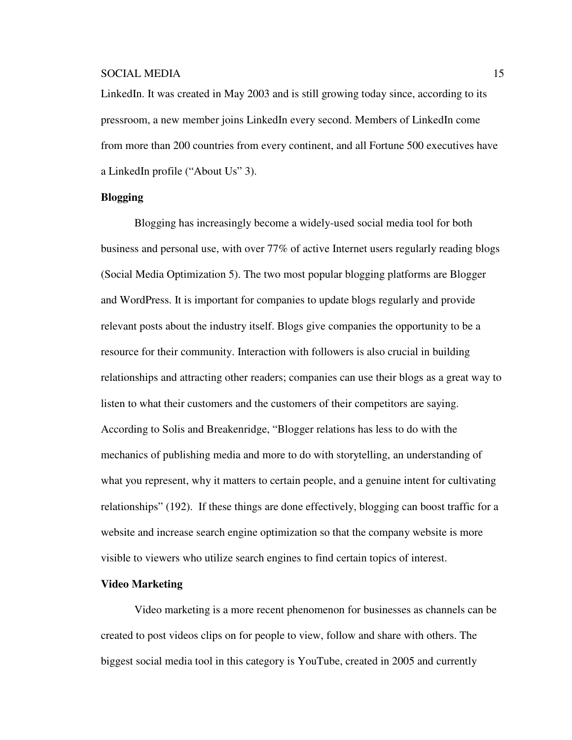LinkedIn. It was created in May 2003 and is still growing today since, according to its pressroom, a new member joins LinkedIn every second. Members of LinkedIn come from more than 200 countries from every continent, and all Fortune 500 executives have a LinkedIn profile ("About Us" 3).

#### **Blogging**

Blogging has increasingly become a widely-used social media tool for both business and personal use, with over 77% of active Internet users regularly reading blogs (Social Media Optimization 5). The two most popular blogging platforms are Blogger and WordPress. It is important for companies to update blogs regularly and provide relevant posts about the industry itself. Blogs give companies the opportunity to be a resource for their community. Interaction with followers is also crucial in building relationships and attracting other readers; companies can use their blogs as a great way to listen to what their customers and the customers of their competitors are saying. According to Solis and Breakenridge, "Blogger relations has less to do with the mechanics of publishing media and more to do with storytelling, an understanding of what you represent, why it matters to certain people, and a genuine intent for cultivating relationships" (192). If these things are done effectively, blogging can boost traffic for a website and increase search engine optimization so that the company website is more visible to viewers who utilize search engines to find certain topics of interest.

#### **Video Marketing**

Video marketing is a more recent phenomenon for businesses as channels can be created to post videos clips on for people to view, follow and share with others. The biggest social media tool in this category is YouTube, created in 2005 and currently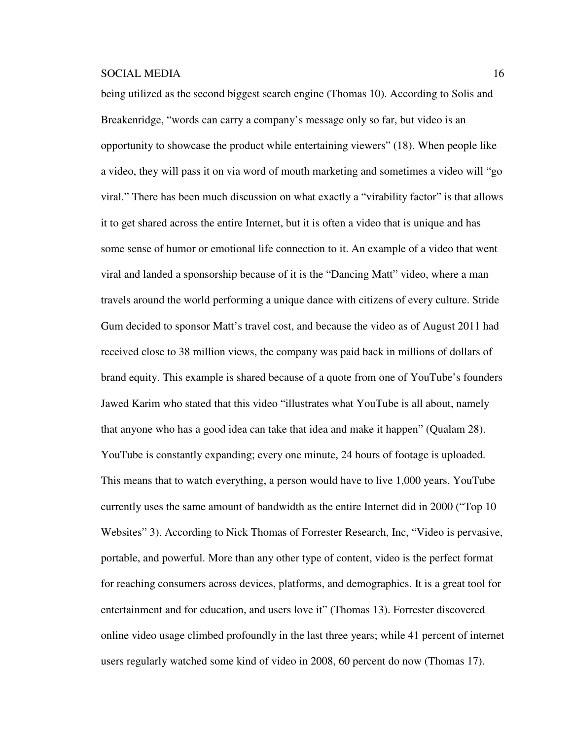being utilized as the second biggest search engine (Thomas 10). According to Solis and Breakenridge, "words can carry a company's message only so far, but video is an opportunity to showcase the product while entertaining viewers" (18). When people like a video, they will pass it on via word of mouth marketing and sometimes a video will "go viral." There has been much discussion on what exactly a "virability factor" is that allows it to get shared across the entire Internet, but it is often a video that is unique and has some sense of humor or emotional life connection to it. An example of a video that went viral and landed a sponsorship because of it is the "Dancing Matt" video, where a man travels around the world performing a unique dance with citizens of every culture. Stride Gum decided to sponsor Matt's travel cost, and because the video as of August 2011 had received close to 38 million views, the company was paid back in millions of dollars of brand equity. This example is shared because of a quote from one of YouTube's founders Jawed Karim who stated that this video "illustrates what YouTube is all about, namely that anyone who has a good idea can take that idea and make it happen" (Qualam 28). YouTube is constantly expanding; every one minute, 24 hours of footage is uploaded. This means that to watch everything, a person would have to live 1,000 years. YouTube currently uses the same amount of bandwidth as the entire Internet did in 2000 ("Top 10 Websites" 3). According to Nick Thomas of Forrester Research, Inc, "Video is pervasive, portable, and powerful. More than any other type of content, video is the perfect format for reaching consumers across devices, platforms, and demographics. It is a great tool for entertainment and for education, and users love it" (Thomas 13). Forrester discovered online video usage climbed profoundly in the last three years; while 41 percent of internet users regularly watched some kind of video in 2008, 60 percent do now (Thomas 17).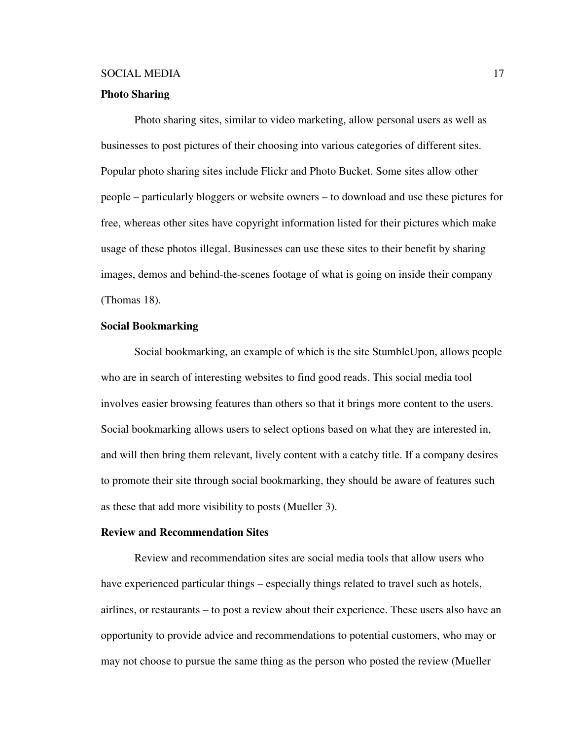### **Photo Sharing**

Photo sharing sites, similar to video marketing, allow personal users as well as businesses to post pictures of their choosing into various categories of different sites. Popular photo sharing sites include Flickr and Photo Bucket. Some sites allow other people – particularly bloggers or website owners – to download and use these pictures for free, whereas other sites have copyright information listed for their pictures which make usage of these photos illegal. Businesses can use these sites to their benefit by sharing images, demos and behind-the-scenes footage of what is going on inside their company (Thomas 18).

## **Social Bookmarking**

Social bookmarking, an example of which is the site StumbleUpon, allows people who are in search of interesting websites to find good reads. This social media tool involves easier browsing features than others so that it brings more content to the users. Social bookmarking allows users to select options based on what they are interested in, and will then bring them relevant, lively content with a catchy title. If a company desires to promote their site through social bookmarking, they should be aware of features such as these that add more visibility to posts (Mueller 3).

#### **Review and Recommendation Sites**

Review and recommendation sites are social media tools that allow users who have experienced particular things – especially things related to travel such as hotels, airlines, or restaurants – to post a review about their experience. These users also have an opportunity to provide advice and recommendations to potential customers, who may or may not choose to pursue the same thing as the person who posted the review (Mueller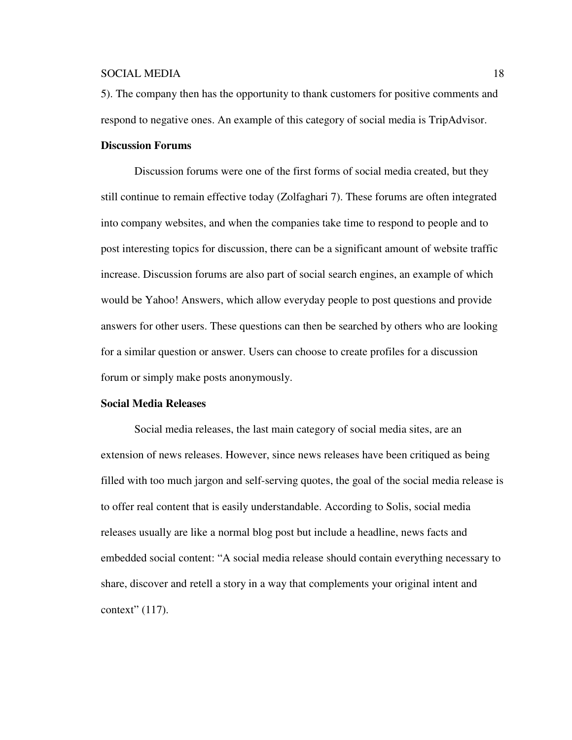5). The company then has the opportunity to thank customers for positive comments and respond to negative ones. An example of this category of social media is TripAdvisor.

### **Discussion Forums**

Discussion forums were one of the first forms of social media created, but they still continue to remain effective today (Zolfaghari 7). These forums are often integrated into company websites, and when the companies take time to respond to people and to post interesting topics for discussion, there can be a significant amount of website traffic increase. Discussion forums are also part of social search engines, an example of which would be Yahoo! Answers, which allow everyday people to post questions and provide answers for other users. These questions can then be searched by others who are looking for a similar question or answer. Users can choose to create profiles for a discussion forum or simply make posts anonymously.

## **Social Media Releases**

Social media releases, the last main category of social media sites, are an extension of news releases. However, since news releases have been critiqued as being filled with too much jargon and self-serving quotes, the goal of the social media release is to offer real content that is easily understandable. According to Solis, social media releases usually are like a normal blog post but include a headline, news facts and embedded social content: "A social media release should contain everything necessary to share, discover and retell a story in a way that complements your original intent and context" (117).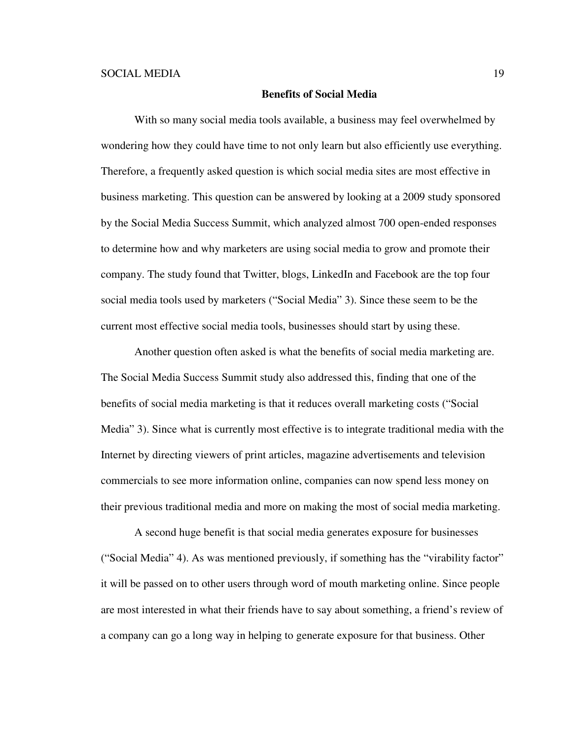#### **Benefits of Social Media**

 With so many social media tools available, a business may feel overwhelmed by wondering how they could have time to not only learn but also efficiently use everything. Therefore, a frequently asked question is which social media sites are most effective in business marketing. This question can be answered by looking at a 2009 study sponsored by the Social Media Success Summit, which analyzed almost 700 open-ended responses to determine how and why marketers are using social media to grow and promote their company. The study found that Twitter, blogs, LinkedIn and Facebook are the top four social media tools used by marketers ("Social Media" 3). Since these seem to be the current most effective social media tools, businesses should start by using these.

 Another question often asked is what the benefits of social media marketing are. The Social Media Success Summit study also addressed this, finding that one of the benefits of social media marketing is that it reduces overall marketing costs ("Social Media" 3). Since what is currently most effective is to integrate traditional media with the Internet by directing viewers of print articles, magazine advertisements and television commercials to see more information online, companies can now spend less money on their previous traditional media and more on making the most of social media marketing.

A second huge benefit is that social media generates exposure for businesses ("Social Media" 4). As was mentioned previously, if something has the "virability factor" it will be passed on to other users through word of mouth marketing online. Since people are most interested in what their friends have to say about something, a friend's review of a company can go a long way in helping to generate exposure for that business. Other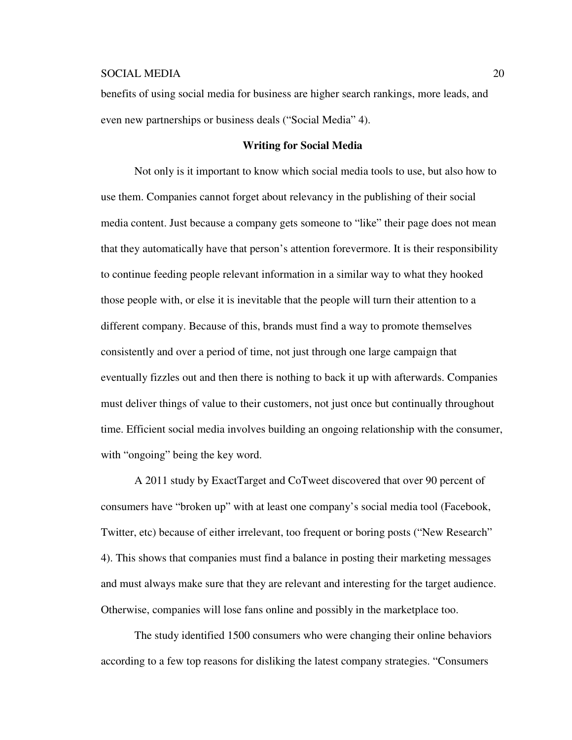benefits of using social media for business are higher search rankings, more leads, and even new partnerships or business deals ("Social Media" 4).

#### **Writing for Social Media**

Not only is it important to know which social media tools to use, but also how to use them. Companies cannot forget about relevancy in the publishing of their social media content. Just because a company gets someone to "like" their page does not mean that they automatically have that person's attention forevermore. It is their responsibility to continue feeding people relevant information in a similar way to what they hooked those people with, or else it is inevitable that the people will turn their attention to a different company. Because of this, brands must find a way to promote themselves consistently and over a period of time, not just through one large campaign that eventually fizzles out and then there is nothing to back it up with afterwards. Companies must deliver things of value to their customers, not just once but continually throughout time. Efficient social media involves building an ongoing relationship with the consumer, with "ongoing" being the key word.

A 2011 study by ExactTarget and CoTweet discovered that over 90 percent of consumers have "broken up" with at least one company's social media tool (Facebook, Twitter, etc) because of either irrelevant, too frequent or boring posts ("New Research" 4). This shows that companies must find a balance in posting their marketing messages and must always make sure that they are relevant and interesting for the target audience. Otherwise, companies will lose fans online and possibly in the marketplace too.

The study identified 1500 consumers who were changing their online behaviors according to a few top reasons for disliking the latest company strategies. "Consumers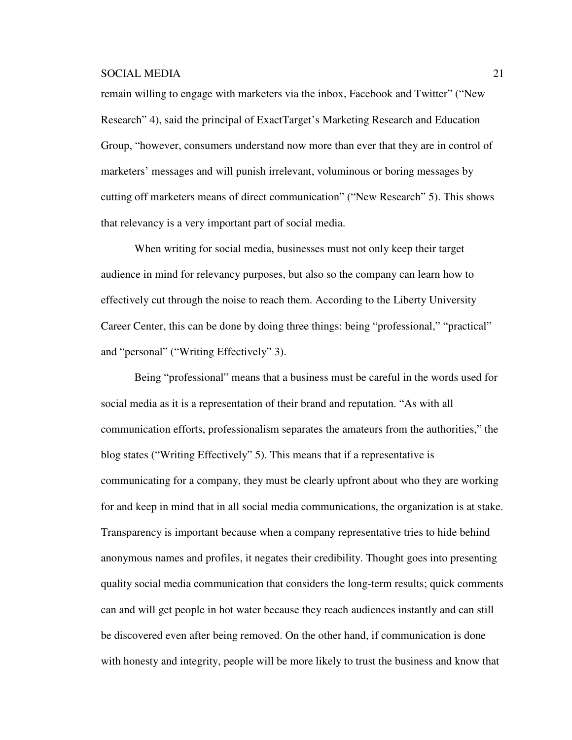remain willing to engage with marketers via the inbox, Facebook and Twitter" ("New Research" 4), said the principal of ExactTarget's Marketing Research and Education Group, "however, consumers understand now more than ever that they are in control of marketers' messages and will punish irrelevant, voluminous or boring messages by cutting off marketers means of direct communication" ("New Research" 5). This shows that relevancy is a very important part of social media.

When writing for social media, businesses must not only keep their target audience in mind for relevancy purposes, but also so the company can learn how to effectively cut through the noise to reach them. According to the Liberty University Career Center, this can be done by doing three things: being "professional," "practical" and "personal" ("Writing Effectively" 3).

Being "professional" means that a business must be careful in the words used for social media as it is a representation of their brand and reputation. "As with all communication efforts, professionalism separates the amateurs from the authorities," the blog states ("Writing Effectively" 5). This means that if a representative is communicating for a company, they must be clearly upfront about who they are working for and keep in mind that in all social media communications, the organization is at stake. Transparency is important because when a company representative tries to hide behind anonymous names and profiles, it negates their credibility. Thought goes into presenting quality social media communication that considers the long-term results; quick comments can and will get people in hot water because they reach audiences instantly and can still be discovered even after being removed. On the other hand, if communication is done with honesty and integrity, people will be more likely to trust the business and know that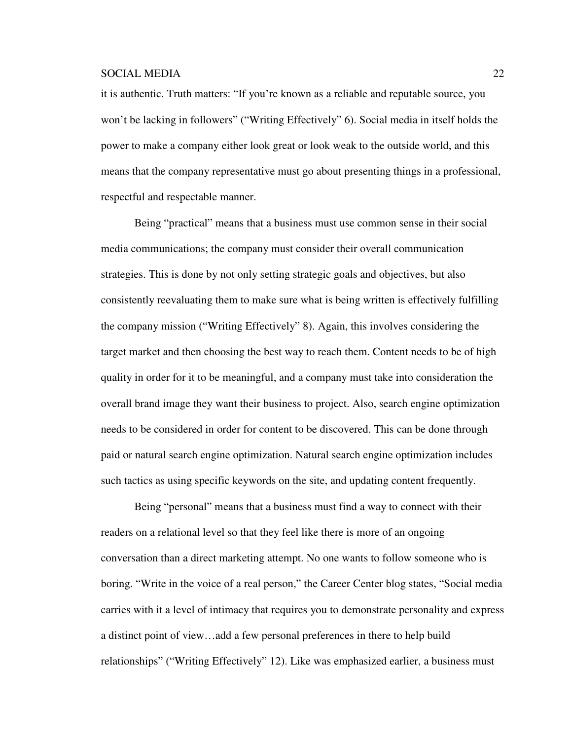it is authentic. Truth matters: "If you're known as a reliable and reputable source, you won't be lacking in followers" ("Writing Effectively" 6). Social media in itself holds the power to make a company either look great or look weak to the outside world, and this means that the company representative must go about presenting things in a professional, respectful and respectable manner.

Being "practical" means that a business must use common sense in their social media communications; the company must consider their overall communication strategies. This is done by not only setting strategic goals and objectives, but also consistently reevaluating them to make sure what is being written is effectively fulfilling the company mission ("Writing Effectively" 8). Again, this involves considering the target market and then choosing the best way to reach them. Content needs to be of high quality in order for it to be meaningful, and a company must take into consideration the overall brand image they want their business to project. Also, search engine optimization needs to be considered in order for content to be discovered. This can be done through paid or natural search engine optimization. Natural search engine optimization includes such tactics as using specific keywords on the site, and updating content frequently.

Being "personal" means that a business must find a way to connect with their readers on a relational level so that they feel like there is more of an ongoing conversation than a direct marketing attempt. No one wants to follow someone who is boring. "Write in the voice of a real person," the Career Center blog states, "Social media carries with it a level of intimacy that requires you to demonstrate personality and express a distinct point of view…add a few personal preferences in there to help build relationships" ("Writing Effectively" 12). Like was emphasized earlier, a business must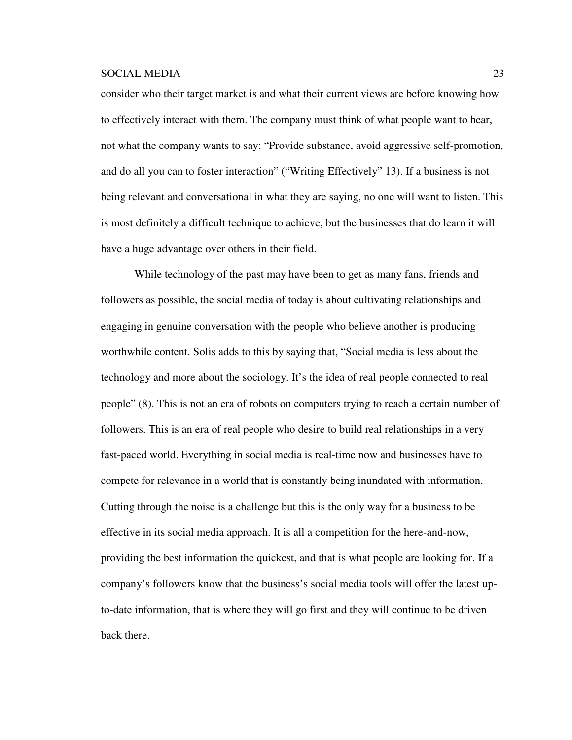consider who their target market is and what their current views are before knowing how to effectively interact with them. The company must think of what people want to hear, not what the company wants to say: "Provide substance, avoid aggressive self-promotion, and do all you can to foster interaction" ("Writing Effectively" 13). If a business is not being relevant and conversational in what they are saying, no one will want to listen. This is most definitely a difficult technique to achieve, but the businesses that do learn it will have a huge advantage over others in their field.

While technology of the past may have been to get as many fans, friends and followers as possible, the social media of today is about cultivating relationships and engaging in genuine conversation with the people who believe another is producing worthwhile content. Solis adds to this by saying that, "Social media is less about the technology and more about the sociology. It's the idea of real people connected to real people" (8). This is not an era of robots on computers trying to reach a certain number of followers. This is an era of real people who desire to build real relationships in a very fast-paced world. Everything in social media is real-time now and businesses have to compete for relevance in a world that is constantly being inundated with information. Cutting through the noise is a challenge but this is the only way for a business to be effective in its social media approach. It is all a competition for the here-and-now, providing the best information the quickest, and that is what people are looking for. If a company's followers know that the business's social media tools will offer the latest upto-date information, that is where they will go first and they will continue to be driven back there.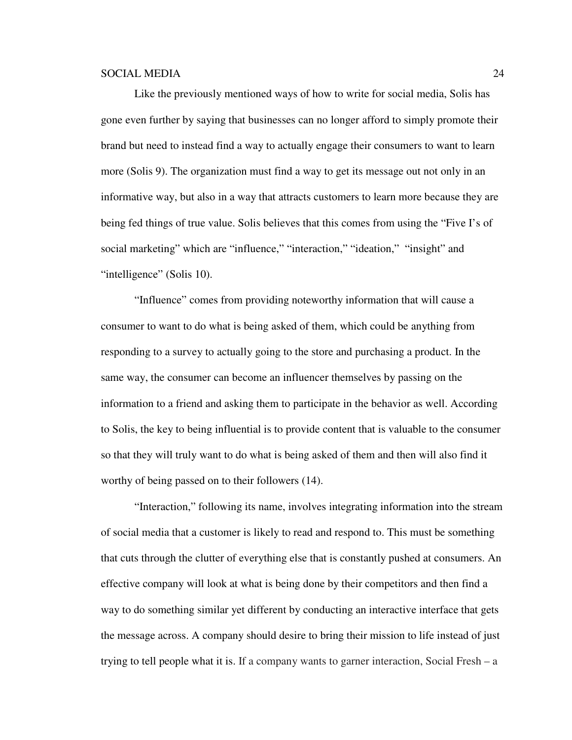Like the previously mentioned ways of how to write for social media, Solis has gone even further by saying that businesses can no longer afford to simply promote their brand but need to instead find a way to actually engage their consumers to want to learn more (Solis 9). The organization must find a way to get its message out not only in an informative way, but also in a way that attracts customers to learn more because they are being fed things of true value. Solis believes that this comes from using the "Five I's of social marketing" which are "influence," "interaction," "ideation," "insight" and "intelligence" (Solis 10).

"Influence" comes from providing noteworthy information that will cause a consumer to want to do what is being asked of them, which could be anything from responding to a survey to actually going to the store and purchasing a product. In the same way, the consumer can become an influencer themselves by passing on the information to a friend and asking them to participate in the behavior as well. According to Solis, the key to being influential is to provide content that is valuable to the consumer so that they will truly want to do what is being asked of them and then will also find it worthy of being passed on to their followers (14).

"Interaction," following its name, involves integrating information into the stream of social media that a customer is likely to read and respond to. This must be something that cuts through the clutter of everything else that is constantly pushed at consumers. An effective company will look at what is being done by their competitors and then find a way to do something similar yet different by conducting an interactive interface that gets the message across. A company should desire to bring their mission to life instead of just trying to tell people what it is. If a company wants to garner interaction, Social Fresh – a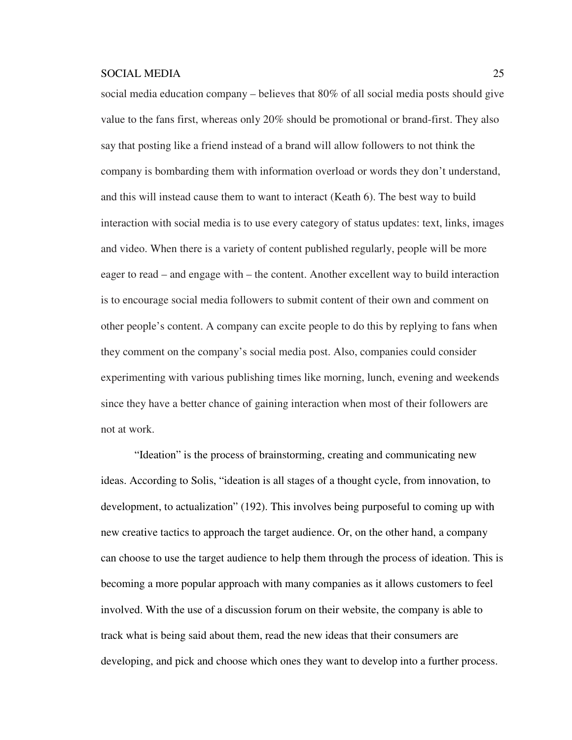social media education company – believes that 80% of all social media posts should give value to the fans first, whereas only 20% should be promotional or brand-first. They also say that posting like a friend instead of a brand will allow followers to not think the company is bombarding them with information overload or words they don't understand, and this will instead cause them to want to interact (Keath 6). The best way to build interaction with social media is to use every category of status updates: text, links, images and video. When there is a variety of content published regularly, people will be more eager to read – and engage with – the content. Another excellent way to build interaction is to encourage social media followers to submit content of their own and comment on other people's content. A company can excite people to do this by replying to fans when they comment on the company's social media post. Also, companies could consider experimenting with various publishing times like morning, lunch, evening and weekends since they have a better chance of gaining interaction when most of their followers are not at work.

"Ideation" is the process of brainstorming, creating and communicating new ideas. According to Solis, "ideation is all stages of a thought cycle, from innovation, to development, to actualization" (192). This involves being purposeful to coming up with new creative tactics to approach the target audience. Or, on the other hand, a company can choose to use the target audience to help them through the process of ideation. This is becoming a more popular approach with many companies as it allows customers to feel involved. With the use of a discussion forum on their website, the company is able to track what is being said about them, read the new ideas that their consumers are developing, and pick and choose which ones they want to develop into a further process.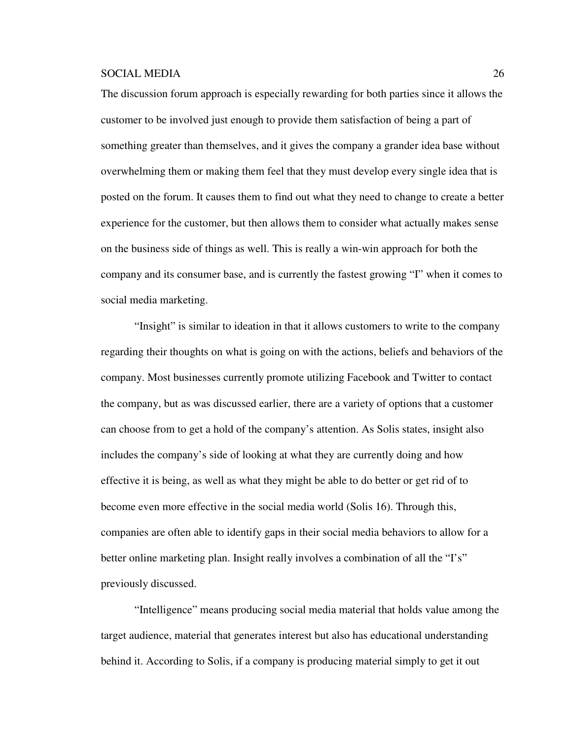The discussion forum approach is especially rewarding for both parties since it allows the customer to be involved just enough to provide them satisfaction of being a part of something greater than themselves, and it gives the company a grander idea base without overwhelming them or making them feel that they must develop every single idea that is posted on the forum. It causes them to find out what they need to change to create a better experience for the customer, but then allows them to consider what actually makes sense on the business side of things as well. This is really a win-win approach for both the company and its consumer base, and is currently the fastest growing "I" when it comes to social media marketing.

"Insight" is similar to ideation in that it allows customers to write to the company regarding their thoughts on what is going on with the actions, beliefs and behaviors of the company. Most businesses currently promote utilizing Facebook and Twitter to contact the company, but as was discussed earlier, there are a variety of options that a customer can choose from to get a hold of the company's attention. As Solis states, insight also includes the company's side of looking at what they are currently doing and how effective it is being, as well as what they might be able to do better or get rid of to become even more effective in the social media world (Solis 16). Through this, companies are often able to identify gaps in their social media behaviors to allow for a better online marketing plan. Insight really involves a combination of all the "I's" previously discussed.

"Intelligence" means producing social media material that holds value among the target audience, material that generates interest but also has educational understanding behind it. According to Solis, if a company is producing material simply to get it out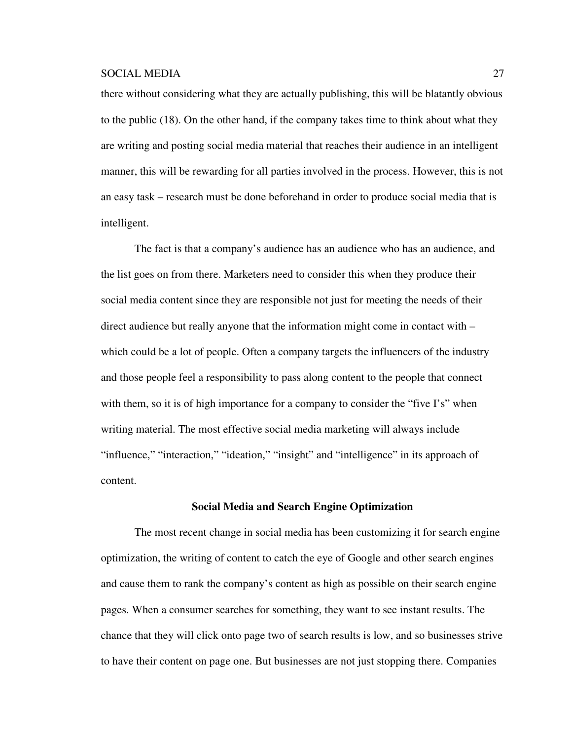there without considering what they are actually publishing, this will be blatantly obvious to the public (18). On the other hand, if the company takes time to think about what they are writing and posting social media material that reaches their audience in an intelligent manner, this will be rewarding for all parties involved in the process. However, this is not an easy task – research must be done beforehand in order to produce social media that is intelligent.

The fact is that a company's audience has an audience who has an audience, and the list goes on from there. Marketers need to consider this when they produce their social media content since they are responsible not just for meeting the needs of their direct audience but really anyone that the information might come in contact with – which could be a lot of people. Often a company targets the influencers of the industry and those people feel a responsibility to pass along content to the people that connect with them, so it is of high importance for a company to consider the "five I's" when writing material. The most effective social media marketing will always include "influence," "interaction," "ideation," "insight" and "intelligence" in its approach of content.

#### **Social Media and Search Engine Optimization**

The most recent change in social media has been customizing it for search engine optimization, the writing of content to catch the eye of Google and other search engines and cause them to rank the company's content as high as possible on their search engine pages. When a consumer searches for something, they want to see instant results. The chance that they will click onto page two of search results is low, and so businesses strive to have their content on page one. But businesses are not just stopping there. Companies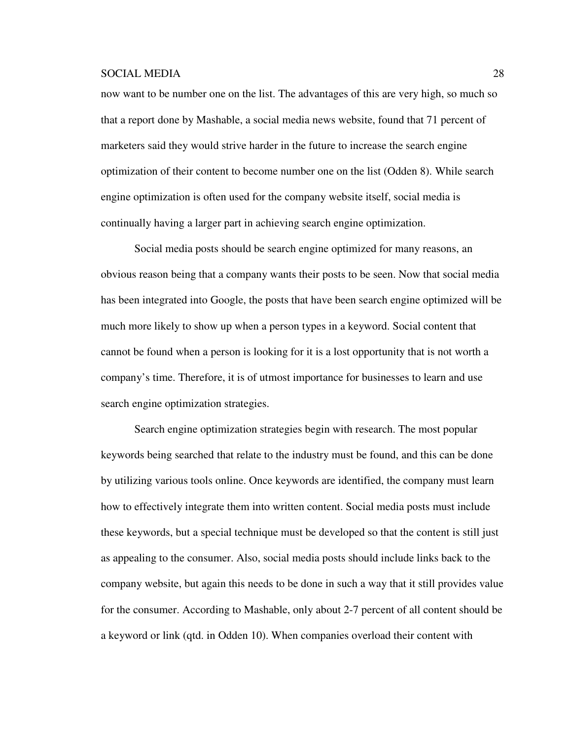now want to be number one on the list. The advantages of this are very high, so much so that a report done by Mashable, a social media news website, found that 71 percent of marketers said they would strive harder in the future to increase the search engine optimization of their content to become number one on the list (Odden 8). While search engine optimization is often used for the company website itself, social media is continually having a larger part in achieving search engine optimization.

Social media posts should be search engine optimized for many reasons, an obvious reason being that a company wants their posts to be seen. Now that social media has been integrated into Google, the posts that have been search engine optimized will be much more likely to show up when a person types in a keyword. Social content that cannot be found when a person is looking for it is a lost opportunity that is not worth a company's time. Therefore, it is of utmost importance for businesses to learn and use search engine optimization strategies.

Search engine optimization strategies begin with research. The most popular keywords being searched that relate to the industry must be found, and this can be done by utilizing various tools online. Once keywords are identified, the company must learn how to effectively integrate them into written content. Social media posts must include these keywords, but a special technique must be developed so that the content is still just as appealing to the consumer. Also, social media posts should include links back to the company website, but again this needs to be done in such a way that it still provides value for the consumer. According to Mashable, only about 2-7 percent of all content should be a keyword or link (qtd. in Odden 10). When companies overload their content with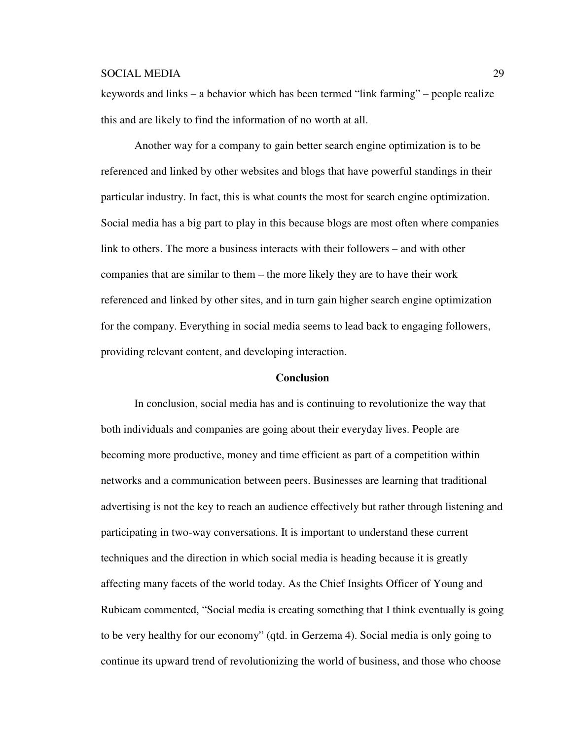keywords and links – a behavior which has been termed "link farming" – people realize this and are likely to find the information of no worth at all.

Another way for a company to gain better search engine optimization is to be referenced and linked by other websites and blogs that have powerful standings in their particular industry. In fact, this is what counts the most for search engine optimization. Social media has a big part to play in this because blogs are most often where companies link to others. The more a business interacts with their followers – and with other companies that are similar to them – the more likely they are to have their work referenced and linked by other sites, and in turn gain higher search engine optimization for the company. Everything in social media seems to lead back to engaging followers, providing relevant content, and developing interaction.

### **Conclusion**

In conclusion, social media has and is continuing to revolutionize the way that both individuals and companies are going about their everyday lives. People are becoming more productive, money and time efficient as part of a competition within networks and a communication between peers. Businesses are learning that traditional advertising is not the key to reach an audience effectively but rather through listening and participating in two-way conversations. It is important to understand these current techniques and the direction in which social media is heading because it is greatly affecting many facets of the world today. As the Chief Insights Officer of Young and Rubicam commented, "Social media is creating something that I think eventually is going to be very healthy for our economy" (qtd. in Gerzema 4). Social media is only going to continue its upward trend of revolutionizing the world of business, and those who choose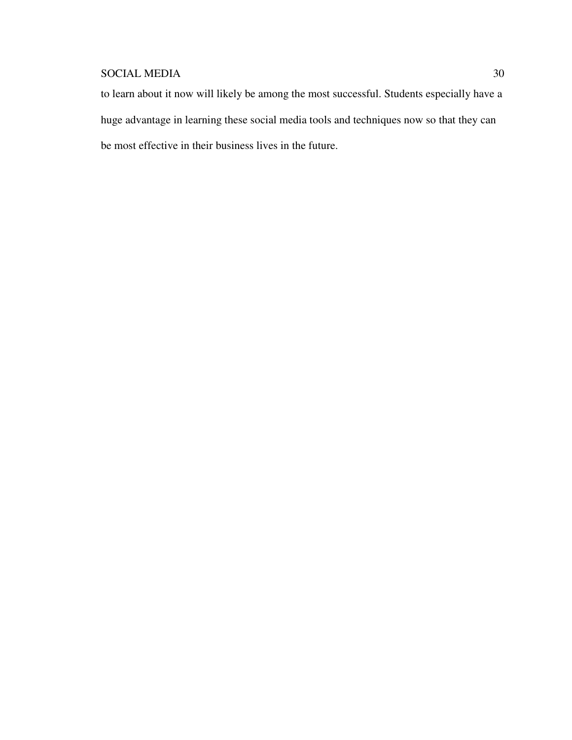to learn about it now will likely be among the most successful. Students especially have a huge advantage in learning these social media tools and techniques now so that they can be most effective in their business lives in the future.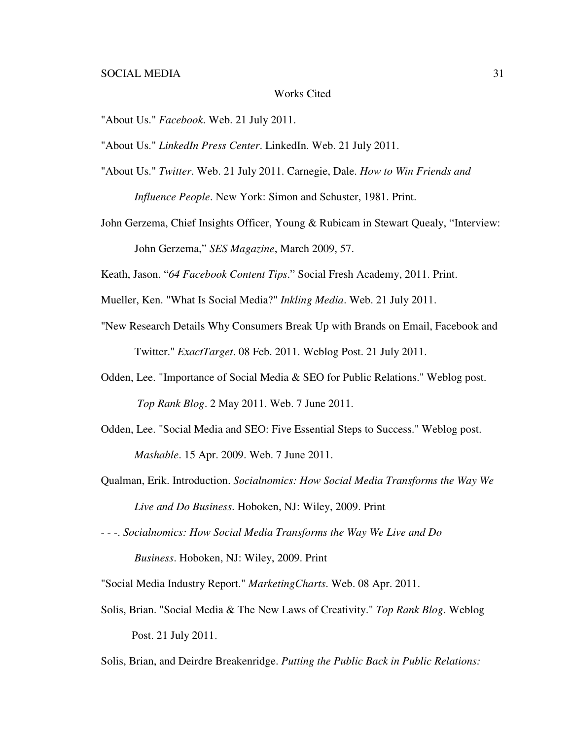### Works Cited

"About Us." *Facebook*. Web. 21 July 2011.

"About Us." *LinkedIn Press Center*. LinkedIn. Web. 21 July 2011.

- "About Us." *Twitter*. Web. 21 July 2011. Carnegie, Dale. *How to Win Friends and Influence People*. New York: Simon and Schuster, 1981. Print.
- John Gerzema, Chief Insights Officer, Young & Rubicam in Stewart Quealy, "Interview: John Gerzema," *SES Magazine*, March 2009, 57.

Keath, Jason. "*64 Facebook Content Tips*." Social Fresh Academy, 2011. Print.

Mueller, Ken. "What Is Social Media?" *Inkling Media*. Web. 21 July 2011.

- "New Research Details Why Consumers Break Up with Brands on Email, Facebook and Twitter." *ExactTarget*. 08 Feb. 2011. Weblog Post. 21 July 2011.
- Odden, Lee. "Importance of Social Media & SEO for Public Relations." Weblog post.  *Top Rank Blog*. 2 May 2011. Web. 7 June 2011.
- Odden, Lee. "Social Media and SEO: Five Essential Steps to Success." Weblog post. *Mashable*. 15 Apr. 2009. Web. 7 June 2011.
- Qualman, Erik. Introduction. *Socialnomics: How Social Media Transforms the Way We Live and Do Business*. Hoboken, NJ: Wiley, 2009. Print

- - -. *Socialnomics: How Social Media Transforms the Way We Live and Do* 

*Business*. Hoboken, NJ: Wiley, 2009. Print

"Social Media Industry Report." *MarketingCharts*. Web. 08 Apr. 2011.

Solis, Brian. "Social Media & The New Laws of Creativity." *Top Rank Blog*. Weblog Post. 21 July 2011.

Solis, Brian, and Deirdre Breakenridge. *Putting the Public Back in Public Relations:*